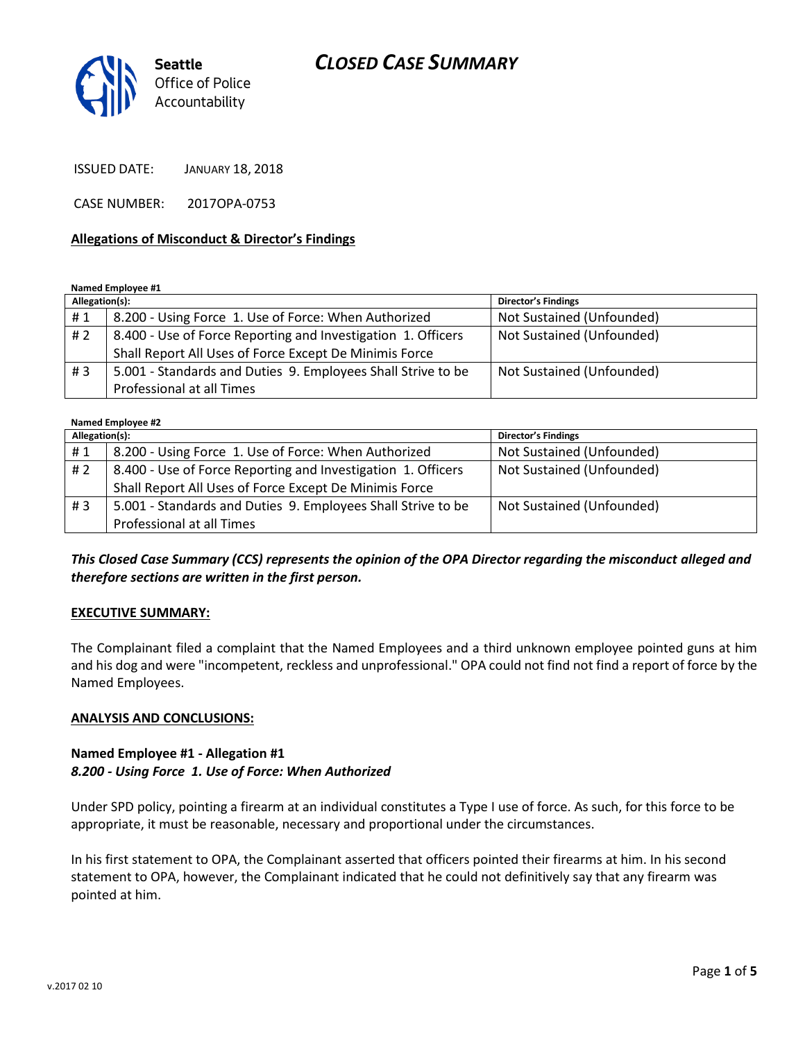

ISSUED DATE: JANUARY 18, 2018

CASE NUMBER: 2017OPA-0753

#### **Allegations of Misconduct & Director's Findings**

#### **Named Employee #1**

| Allegation(s): |                                                              | <b>Director's Findings</b> |
|----------------|--------------------------------------------------------------|----------------------------|
| #1             | 8.200 - Using Force 1. Use of Force: When Authorized         | Not Sustained (Unfounded)  |
| #2             | 8.400 - Use of Force Reporting and Investigation 1. Officers | Not Sustained (Unfounded)  |
|                | Shall Report All Uses of Force Except De Minimis Force       |                            |
| #3             | 5.001 - Standards and Duties 9. Employees Shall Strive to be | Not Sustained (Unfounded)  |
|                | Professional at all Times                                    |                            |

#### **Named Employee #2**

| Allegation(s): |                                                              | Director's Findings       |  |
|----------------|--------------------------------------------------------------|---------------------------|--|
| #1             | 8.200 - Using Force 1. Use of Force: When Authorized         | Not Sustained (Unfounded) |  |
| #2             | 8.400 - Use of Force Reporting and Investigation 1. Officers | Not Sustained (Unfounded) |  |
|                | Shall Report All Uses of Force Except De Minimis Force       |                           |  |
| #3             | 5.001 - Standards and Duties 9. Employees Shall Strive to be | Not Sustained (Unfounded) |  |
|                | Professional at all Times                                    |                           |  |

### *This Closed Case Summary (CCS) represents the opinion of the OPA Director regarding the misconduct alleged and therefore sections are written in the first person.*

#### **EXECUTIVE SUMMARY:**

The Complainant filed a complaint that the Named Employees and a third unknown employee pointed guns at him and his dog and were "incompetent, reckless and unprofessional." OPA could not find not find a report of force by the Named Employees.

#### **ANALYSIS AND CONCLUSIONS:**

#### **Named Employee #1 - Allegation #1** *8.200 - Using Force 1. Use of Force: When Authorized*

Under SPD policy, pointing a firearm at an individual constitutes a Type I use of force. As such, for this force to be appropriate, it must be reasonable, necessary and proportional under the circumstances.

In his first statement to OPA, the Complainant asserted that officers pointed their firearms at him. In his second statement to OPA, however, the Complainant indicated that he could not definitively say that any firearm was pointed at him.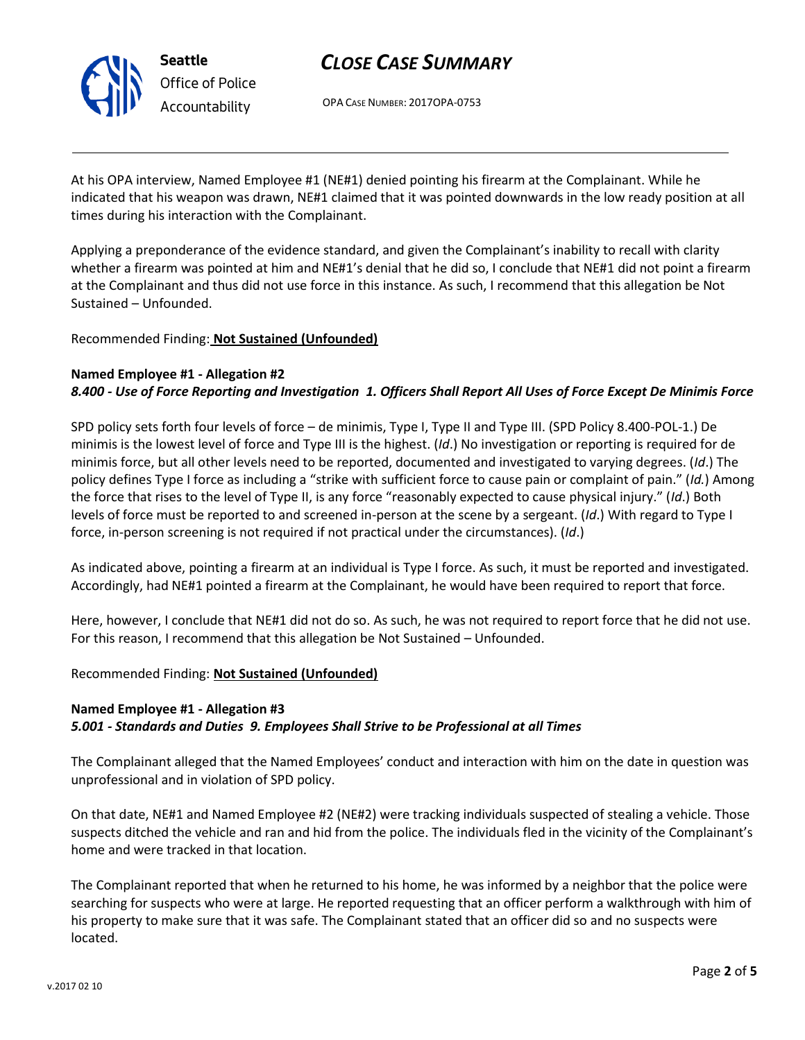

OPA CASE NUMBER: 2017OPA-0753

At his OPA interview, Named Employee #1 (NE#1) denied pointing his firearm at the Complainant. While he indicated that his weapon was drawn, NE#1 claimed that it was pointed downwards in the low ready position at all times during his interaction with the Complainant.

Applying a preponderance of the evidence standard, and given the Complainant's inability to recall with clarity whether a firearm was pointed at him and NE#1's denial that he did so, I conclude that NE#1 did not point a firearm at the Complainant and thus did not use force in this instance. As such, I recommend that this allegation be Not Sustained – Unfounded.

### Recommended Finding: **Not Sustained (Unfounded)**

#### **Named Employee #1 - Allegation #2**

# *8.400 - Use of Force Reporting and Investigation 1. Officers Shall Report All Uses of Force Except De Minimis Force*

SPD policy sets forth four levels of force – de minimis, Type I, Type II and Type III. (SPD Policy 8.400-POL-1.) De minimis is the lowest level of force and Type III is the highest. (*Id*.) No investigation or reporting is required for de minimis force, but all other levels need to be reported, documented and investigated to varying degrees. (*Id*.) The policy defines Type I force as including a "strike with sufficient force to cause pain or complaint of pain." (*Id.*) Among the force that rises to the level of Type II, is any force "reasonably expected to cause physical injury." (*Id*.) Both levels of force must be reported to and screened in-person at the scene by a sergeant. (*Id*.) With regard to Type I force, in-person screening is not required if not practical under the circumstances). (*Id*.)

As indicated above, pointing a firearm at an individual is Type I force. As such, it must be reported and investigated. Accordingly, had NE#1 pointed a firearm at the Complainant, he would have been required to report that force.

Here, however, I conclude that NE#1 did not do so. As such, he was not required to report force that he did not use. For this reason, I recommend that this allegation be Not Sustained – Unfounded.

#### Recommended Finding: **Not Sustained (Unfounded)**

# **Named Employee #1 - Allegation #3**

#### *5.001 - Standards and Duties 9. Employees Shall Strive to be Professional at all Times*

The Complainant alleged that the Named Employees' conduct and interaction with him on the date in question was unprofessional and in violation of SPD policy.

On that date, NE#1 and Named Employee #2 (NE#2) were tracking individuals suspected of stealing a vehicle. Those suspects ditched the vehicle and ran and hid from the police. The individuals fled in the vicinity of the Complainant's home and were tracked in that location.

The Complainant reported that when he returned to his home, he was informed by a neighbor that the police were searching for suspects who were at large. He reported requesting that an officer perform a walkthrough with him of his property to make sure that it was safe. The Complainant stated that an officer did so and no suspects were located.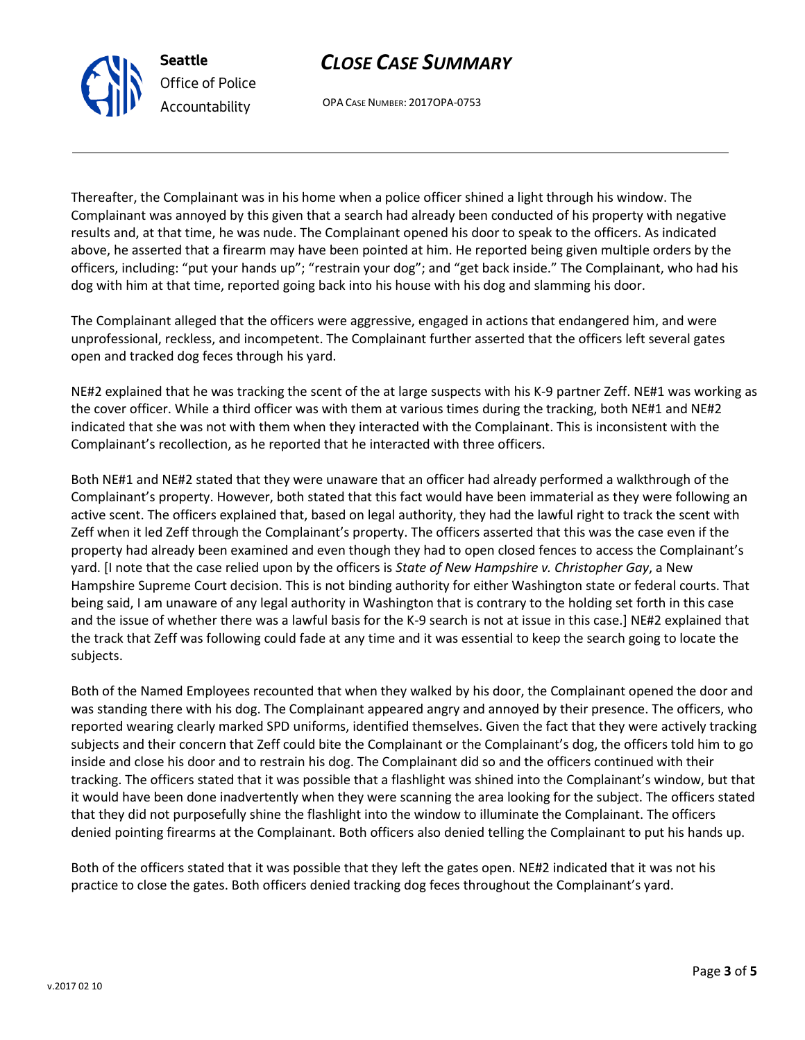OPA CASE NUMBER: 2017OPA-0753

Thereafter, the Complainant was in his home when a police officer shined a light through his window. The Complainant was annoyed by this given that a search had already been conducted of his property with negative results and, at that time, he was nude. The Complainant opened his door to speak to the officers. As indicated above, he asserted that a firearm may have been pointed at him. He reported being given multiple orders by the officers, including: "put your hands up"; "restrain your dog"; and "get back inside." The Complainant, who had his dog with him at that time, reported going back into his house with his dog and slamming his door.

The Complainant alleged that the officers were aggressive, engaged in actions that endangered him, and were unprofessional, reckless, and incompetent. The Complainant further asserted that the officers left several gates open and tracked dog feces through his yard.

NE#2 explained that he was tracking the scent of the at large suspects with his K-9 partner Zeff. NE#1 was working as the cover officer. While a third officer was with them at various times during the tracking, both NE#1 and NE#2 indicated that she was not with them when they interacted with the Complainant. This is inconsistent with the Complainant's recollection, as he reported that he interacted with three officers.

Both NE#1 and NE#2 stated that they were unaware that an officer had already performed a walkthrough of the Complainant's property. However, both stated that this fact would have been immaterial as they were following an active scent. The officers explained that, based on legal authority, they had the lawful right to track the scent with Zeff when it led Zeff through the Complainant's property. The officers asserted that this was the case even if the property had already been examined and even though they had to open closed fences to access the Complainant's yard. [I note that the case relied upon by the officers is *State of New Hampshire v. Christopher Gay*, a New Hampshire Supreme Court decision. This is not binding authority for either Washington state or federal courts. That being said, I am unaware of any legal authority in Washington that is contrary to the holding set forth in this case and the issue of whether there was a lawful basis for the K-9 search is not at issue in this case.] NE#2 explained that the track that Zeff was following could fade at any time and it was essential to keep the search going to locate the subjects.

Both of the Named Employees recounted that when they walked by his door, the Complainant opened the door and was standing there with his dog. The Complainant appeared angry and annoyed by their presence. The officers, who reported wearing clearly marked SPD uniforms, identified themselves. Given the fact that they were actively tracking subjects and their concern that Zeff could bite the Complainant or the Complainant's dog, the officers told him to go inside and close his door and to restrain his dog. The Complainant did so and the officers continued with their tracking. The officers stated that it was possible that a flashlight was shined into the Complainant's window, but that it would have been done inadvertently when they were scanning the area looking for the subject. The officers stated that they did not purposefully shine the flashlight into the window to illuminate the Complainant. The officers denied pointing firearms at the Complainant. Both officers also denied telling the Complainant to put his hands up.

Both of the officers stated that it was possible that they left the gates open. NE#2 indicated that it was not his practice to close the gates. Both officers denied tracking dog feces throughout the Complainant's yard.



**Seattle**

*Office of Police Accountability*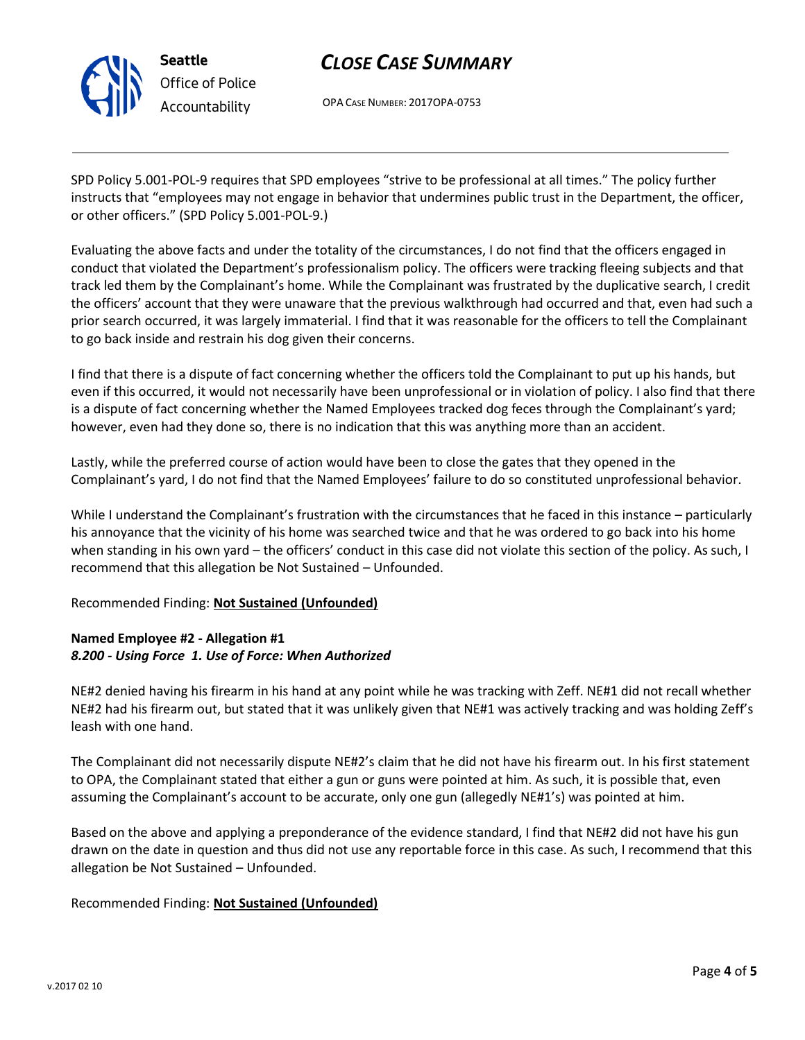

OPA CASE NUMBER: 2017OPA-0753

SPD Policy 5.001-POL-9 requires that SPD employees "strive to be professional at all times." The policy further instructs that "employees may not engage in behavior that undermines public trust in the Department, the officer, or other officers." (SPD Policy 5.001-POL-9.)

Evaluating the above facts and under the totality of the circumstances, I do not find that the officers engaged in conduct that violated the Department's professionalism policy. The officers were tracking fleeing subjects and that track led them by the Complainant's home. While the Complainant was frustrated by the duplicative search, I credit the officers' account that they were unaware that the previous walkthrough had occurred and that, even had such a prior search occurred, it was largely immaterial. I find that it was reasonable for the officers to tell the Complainant to go back inside and restrain his dog given their concerns.

I find that there is a dispute of fact concerning whether the officers told the Complainant to put up his hands, but even if this occurred, it would not necessarily have been unprofessional or in violation of policy. I also find that there is a dispute of fact concerning whether the Named Employees tracked dog feces through the Complainant's yard; however, even had they done so, there is no indication that this was anything more than an accident.

Lastly, while the preferred course of action would have been to close the gates that they opened in the Complainant's yard, I do not find that the Named Employees' failure to do so constituted unprofessional behavior.

While I understand the Complainant's frustration with the circumstances that he faced in this instance – particularly his annoyance that the vicinity of his home was searched twice and that he was ordered to go back into his home when standing in his own yard – the officers' conduct in this case did not violate this section of the policy. As such, I recommend that this allegation be Not Sustained – Unfounded.

# Recommended Finding: **Not Sustained (Unfounded)**

# **Named Employee #2 - Allegation #1** *8.200 - Using Force 1. Use of Force: When Authorized*

NE#2 denied having his firearm in his hand at any point while he was tracking with Zeff. NE#1 did not recall whether NE#2 had his firearm out, but stated that it was unlikely given that NE#1 was actively tracking and was holding Zeff's leash with one hand.

The Complainant did not necessarily dispute NE#2's claim that he did not have his firearm out. In his first statement to OPA, the Complainant stated that either a gun or guns were pointed at him. As such, it is possible that, even assuming the Complainant's account to be accurate, only one gun (allegedly NE#1's) was pointed at him.

Based on the above and applying a preponderance of the evidence standard, I find that NE#2 did not have his gun drawn on the date in question and thus did not use any reportable force in this case. As such, I recommend that this allegation be Not Sustained – Unfounded.

# Recommended Finding: **Not Sustained (Unfounded)**